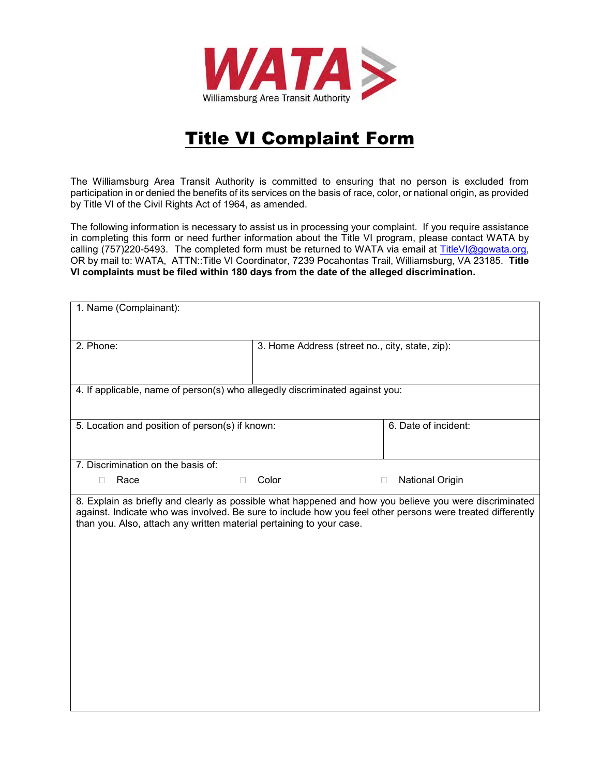

## Title VI Complaint Form

The Williamsburg Area Transit Authority is committed to ensuring that no person is excluded from participation in or denied the benefits of its services on the basis of race, color, or national origin, as provided by Title VI of the Civil Rights Act of 1964, as amended.

The following information is necessary to assist us in processing your complaint. If you require assistance in completing this form or need further information about the Title VI program, please contact WATA by calling (757)220-5493. The completed form must be returned to WATA via email at [TitleVI@gowata.org,](mailto:TitleVI@gowata.org) OR by mail to: WATA, ATTN::Title VI Coordinator, 7239 Pocahontas Trail, Williamsburg, VA 23185. **Title VI complaints must be filed within 180 days from the date of the alleged discrimination.**

| 1. Name (Complainant):                                                                                                                                                                                                                                                                       |                                                 |                      |  |  |
|----------------------------------------------------------------------------------------------------------------------------------------------------------------------------------------------------------------------------------------------------------------------------------------------|-------------------------------------------------|----------------------|--|--|
| 2. Phone:                                                                                                                                                                                                                                                                                    | 3. Home Address (street no., city, state, zip): |                      |  |  |
| 4. If applicable, name of person(s) who allegedly discriminated against you:                                                                                                                                                                                                                 |                                                 |                      |  |  |
| 5. Location and position of person(s) if known:                                                                                                                                                                                                                                              |                                                 | 6. Date of incident: |  |  |
| 7. Discrimination on the basis of:                                                                                                                                                                                                                                                           |                                                 |                      |  |  |
| Race<br>П                                                                                                                                                                                                                                                                                    | Color                                           | National Origin<br>П |  |  |
| 8. Explain as briefly and clearly as possible what happened and how you believe you were discriminated<br>against. Indicate who was involved. Be sure to include how you feel other persons were treated differently<br>than you. Also, attach any written material pertaining to your case. |                                                 |                      |  |  |